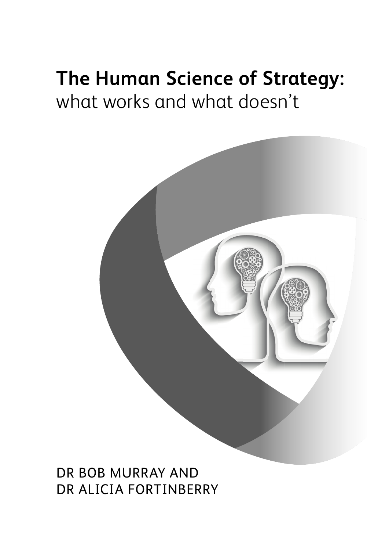# **The Human Science of Strategy:** what works and what doesn't



DR BOB MURRAY AND DR ALICIA FORTINBERRY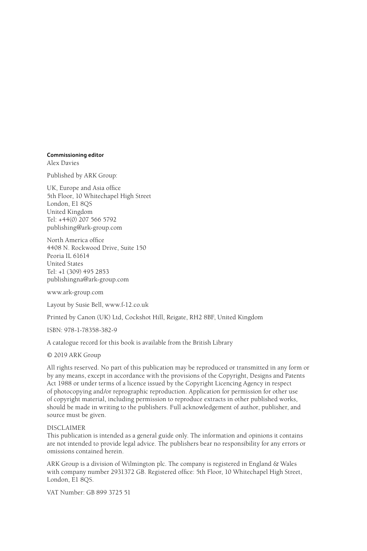#### **Commissioning editor**

Alex Davies

Published by ARK Group:

UK, Europe and Asia office 5th Floor, 10 Whitechapel High Street London, E1 8QS United Kingdom Tel: +44(0) 207 566 5792 publishing@ark-group.com

North America office 4408 N. Rockwood Drive, Suite 150 Peoria IL 61614 United States Tel: +1 (309) 495 2853 publishingna@ark-group.com

www.ark-group.com

Layout by Susie Bell, www.f-12.co.uk

Printed by Canon (UK) Ltd, Cockshot Hill, Reigate, RH2 8BF, United Kingdom

ISBN: 978-1-78358-382-9

A catalogue record for this book is available from the British Library

© 2019 ARK Group

All rights reserved. No part of this publication may be reproduced or transmitted in any form or by any means, except in accordance with the provisions of the Copyright, Designs and Patents Act 1988 or under terms of a licence issued by the Copyright Licencing Agency in respect of photocopying and/or reprographic reproduction. Application for permission for other use of copyright material, including permission to reproduce extracts in other published works, should be made in writing to the publishers. Full acknowledgement of author, publisher, and source must be given.

### DISCLAIMER

This publication is intended as a general guide only. The information and opinions it contains are not intended to provide legal advice. The publishers bear no responsibility for any errors or omissions contained herein.

ARK Group is a division of Wilmington plc. The company is registered in England & Wales with company number 2931372 GB. Registered office: 5th Floor, 10 Whitechapel High Street, London, E1 8QS.

VAT Number: GB 899 3725 51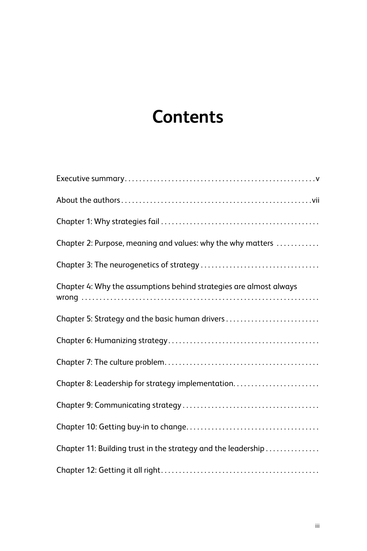# **Contents**

| Chapter 2: Purpose, meaning and values: why the why matters        |
|--------------------------------------------------------------------|
|                                                                    |
| Chapter 4: Why the assumptions behind strategies are almost always |
| Chapter 5: Strategy and the basic human drivers                    |
|                                                                    |
|                                                                    |
| Chapter 8: Leadership for strategy implementation                  |
|                                                                    |
|                                                                    |
| Chapter 11: Building trust in the strategy and the leadership      |
|                                                                    |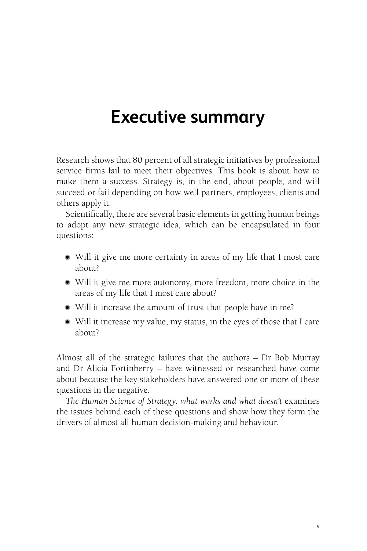## **Executive summary**

Research shows that 80 percent of all strategic initiatives by professional service firms fail to meet their objectives. This book is about how to make them a success. Strategy is, in the end, about people, and will succeed or fail depending on how well partners, employees, clients and others apply it.

Scientifically, there are several basic elements in getting human beings to adopt any new strategic idea, which can be encapsulated in four questions:

- Will it give me more certainty in areas of my life that I most care about?
- Will it give me more autonomy, more freedom, more choice in the areas of my life that I most care about?
- Will it increase the amount of trust that people have in me?
- Will it increase my value, my status, in the eyes of those that I care about?

Almost all of the strategic failures that the authors – Dr Bob Murray and Dr Alicia Fortinberry – have witnessed or researched have come about because the key stakeholders have answered one or more of these questions in the negative.

*The Human Science of Strategy: what works and what doesn't* examines the issues behind each of these questions and show how they form the drivers of almost all human decision-making and behaviour.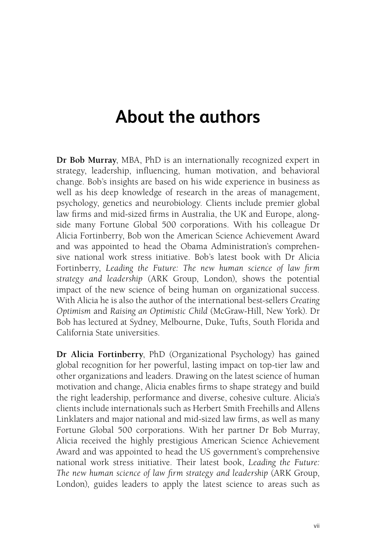### **About the authors**

**Dr Bob Murray**, MBA, PhD is an internationally recognized expert in strategy, leadership, influencing, human motivation, and behavioral change. Bob's insights are based on his wide experience in business as well as his deep knowledge of research in the areas of management, psychology, genetics and neurobiology. Clients include premier global law firms and mid-sized firms in Australia, the UK and Europe, alongside many Fortune Global 500 corporations. With his colleague Dr Alicia Fortinberry, Bob won the American Science Achievement Award and was appointed to head the Obama Administration's comprehensive national work stress initiative. Bob's latest book with Dr Alicia Fortinberry, *Leading the Future: The new human science of law firm strategy and leadership* (ARK Group, London), shows the potential impact of the new science of being human on organizational success. With Alicia he is also the author of the international best-sellers *Creating Optimism* and *Raising an Optimistic Child* (McGraw-Hill, New York). Dr Bob has lectured at Sydney, Melbourne, Duke, Tufts, South Florida and California State universities.

**Dr Alicia Fortinberry**, PhD (Organizational Psychology) has gained global recognition for her powerful, lasting impact on top-tier law and other organizations and leaders. Drawing on the latest science of human motivation and change, Alicia enables firms to shape strategy and build the right leadership, performance and diverse, cohesive culture. Alicia's clients include internationals such as Herbert Smith Freehills and Allens Linklaters and major national and mid-sized law firms, as well as many Fortune Global 500 corporations. With her partner Dr Bob Murray, Alicia received the highly prestigious American Science Achievement Award and was appointed to head the US government's comprehensive national work stress initiative. Their latest book, *Leading the Future: The new human science of law firm strategy and leadership (ARK Group,* London), guides leaders to apply the latest science to areas such as